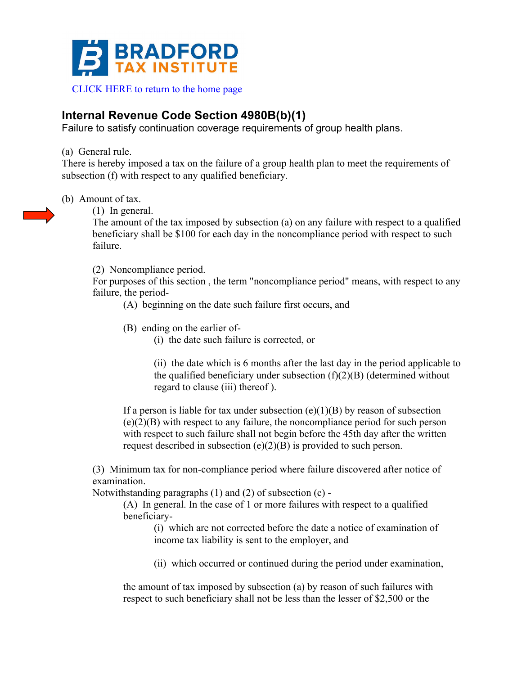

## **Internal Revenue Code Section 4980B(b)(1)**

Failure to satisfy continuation coverage requirements of group health plans.

(a) General rule.

There is hereby imposed a tax on the failure of a group health plan to meet the requirements of subsection (f) with respect to any qualified beneficiary.

(b) Amount of tax.

(1) In general.

The amount of the tax imposed by subsection (a) on any failure with respect to a qualified beneficiary shall be \$100 for each day in the noncompliance period with respect to such failure.

(2) Noncompliance period.

For purposes of this section , the term "noncompliance period" means, with respect to any failure, the period-

(A) beginning on the date such failure first occurs, and

- (B) ending on the earlier of-
	- (i) the date such failure is corrected, or

(ii) the date which is 6 months after the last day in the period applicable to the qualified beneficiary under subsection  $(f)(2)(B)$  (determined without regard to clause (iii) thereof ).

If a person is liable for tax under subsection  $(e)(1)(B)$  by reason of subsection (e)(2)(B) with respect to any failure, the noncompliance period for such person with respect to such failure shall not begin before the 45th day after the written request described in subsection (e)(2)(B) is provided to such person.

(3) Minimum tax for non-compliance period where failure discovered after notice of examination.

Notwithstanding paragraphs (1) and (2) of subsection (c) -

(A) In general. In the case of 1 or more failures with respect to a qualified beneficiary-

(i) which are not corrected before the date a notice of examination of income tax liability is sent to the employer, and

(ii) which occurred or continued during the period under examination,

the amount of tax imposed by subsection (a) by reason of such failures with respect to such beneficiary shall not be less than the lesser of \$2,500 or the